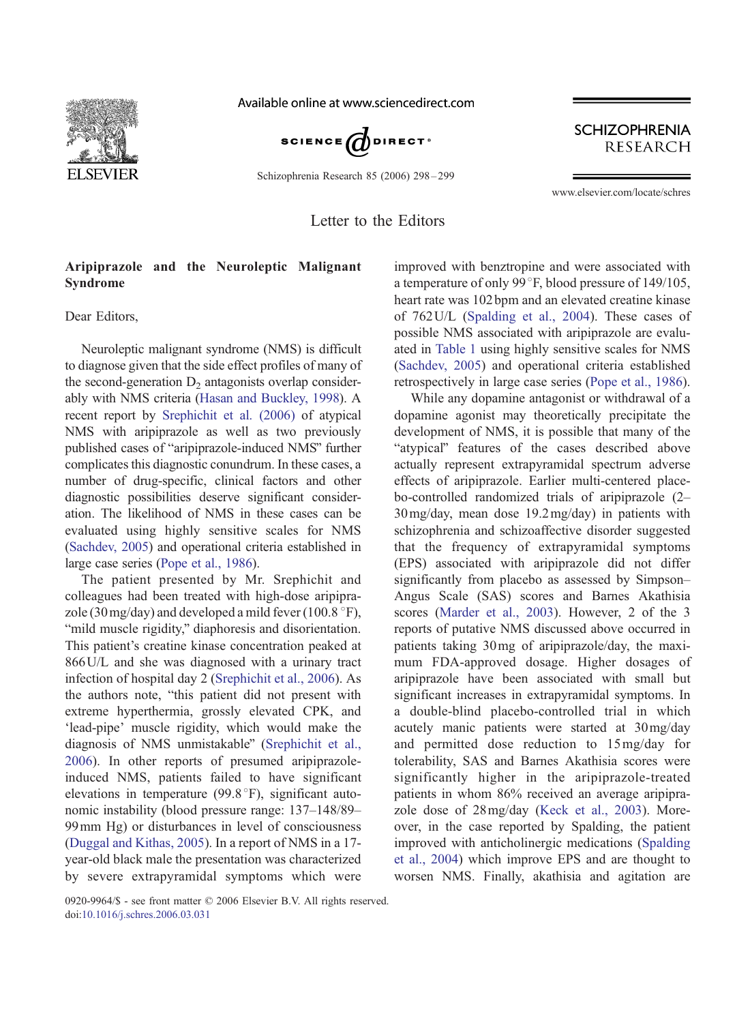

Available online at www.sciencedirect.com



Schizophrenia Research 85 (2006) 298 – 299

**SCHIZOPHRENIA RESEARCH** 

www.elsevier.com/locate/schres

Letter to the Editors

## Aripiprazole and the Neuroleptic Malignant Syndrome

Dear Editors,

Neuroleptic malignant syndrome (NMS) is difficult to diagnose given that the side effect profiles of many of the second-generation  $D_2$  antagonists overlap considerably with NMS criteria ([Hasan and Buckley, 1998\)](#page-1-0). A recent report by [Srephichit et al. \(2006\)](#page-1-0) of atypical NMS with aripiprazole as well as two previously published cases of "aripiprazole-induced NMS" further complicates this diagnostic conundrum. In these cases, a number of drug-specific, clinical factors and other diagnostic possibilities deserve significant consideration. The likelihood of NMS in these cases can be evaluated using highly sensitive scales for NMS [\(Sachdev, 2005\)](#page-1-0) and operational criteria established in large case series ([Pope et al., 1986\)](#page-1-0).

The patient presented by Mr. Srephichit and colleagues had been treated with high-dose aripiprazole (30 mg/day) and developed a mild fever (100.8  $\degree$ F), "mild muscle rigidity," diaphoresis and disorientation. This patient's creatine kinase concentration peaked at 866U/L and she was diagnosed with a urinary tract infection of hospital day 2 ([Srephichit et al., 2006\)](#page-1-0). As the authors note, "this patient did not present with extreme hyperthermia, grossly elevated CPK, and 'lead-pipe' muscle rigidity, which would make the diagnosis of NMS unmistakable" ([Srephichit et al.,](#page-1-0) 2006). In other reports of presumed aripiprazoleinduced NMS, patients failed to have significant elevations in temperature  $(99.8^{\circ}F)$ , significant autonomic instability (blood pressure range: 137–148/89– 99mm Hg) or disturbances in level of consciousness ([Duggal and Kithas, 2005\)](#page-1-0). In a report of NMS in a 17 year-old black male the presentation was characterized by severe extrapyramidal symptoms which were

improved with benztropine and were associated with a temperature of only 99 $\degree$ F, blood pressure of 149/105, heart rate was 102 bpm and an elevated creatine kinase of 762U/L ([Spalding et al., 2004\)](#page-1-0). These cases of possible NMS associated with aripiprazole are evaluated in [Table 1](#page-1-0) using highly sensitive scales for NMS ([Sachdev, 2005\)](#page-1-0) and operational criteria established retrospectively in large case series ([Pope et al., 1986\)](#page-1-0).

While any dopamine antagonist or withdrawal of a dopamine agonist may theoretically precipitate the development of NMS, it is possible that many of the "atypical" features of the cases described above actually represent extrapyramidal spectrum adverse effects of aripiprazole. Earlier multi-centered placebo-controlled randomized trials of aripiprazole (2– 30mg/day, mean dose 19.2mg/day) in patients with schizophrenia and schizoaffective disorder suggested that the frequency of extrapyramidal symptoms (EPS) associated with aripiprazole did not differ significantly from placebo as assessed by Simpson– Angus Scale (SAS) scores and Barnes Akathisia scores ([Marder et al., 2003\)](#page-1-0). However, 2 of the 3 reports of putative NMS discussed above occurred in patients taking 30mg of aripiprazole/day, the maximum FDA-approved dosage. Higher dosages of aripiprazole have been associated with small but significant increases in extrapyramidal symptoms. In a double-blind placebo-controlled trial in which acutely manic patients were started at 30mg/day and permitted dose reduction to 15mg/day for tolerability, SAS and Barnes Akathisia scores were significantly higher in the aripiprazole-treated patients in whom 86% received an average aripiprazole dose of 28mg/day ([Keck et al., 2003\)](#page-1-0). Moreover, in the case reported by Spalding, the patient improved with anticholinergic medications ([Spalding](#page-1-0) et al., 2004) which improve EPS and are thought to worsen NMS. Finally, akathisia and agitation are

0920-9964/\$ - see front matter © 2006 Elsevier B.V. All rights reserved. doi[:10.1016/j.schres.2006.03.031](http://dx.doi.org/10.1016/j.schres.2006.03.031)